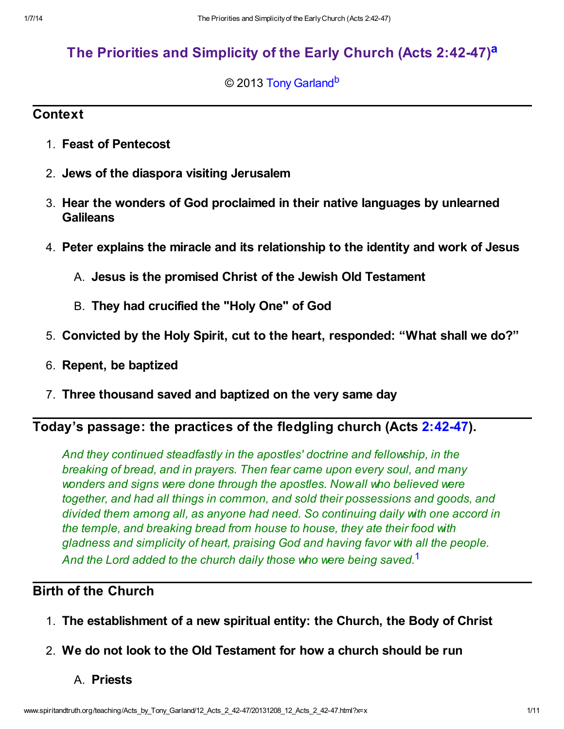# [The Priorities and Simplicity of the Early Church \(Acts 2:42-47\)](http://www.spiritandtruth.org/teaching/Acts_by_Tony_Garland/12_Acts_2_42-47/index.htm)<sup>[a](#page-10-0)</sup>

### <span id="page-0-2"></span><span id="page-0-1"></span>© 2013 [Tony Garland](http://www.spiritandtruth.org/id/tg.htm)<sup>[b](#page-10-1)</sup>

## **Context**

- 1. Feast of Pentecost
- 2. Jews of the diaspora visiting Jerusalem
- 3. Hear the wonders of God proclaimed in their native languages by unlearned **Galileans**
- 4. Peter explains the miracle and its relationship to the identity and work of Jesus
	- A. Jesus is the promised Christ of the Jewish Old Testament
	- B. They had crucified the "Holy One" of God
- 5. Convicted by the Holy Spirit, cut to the heart, responded: "What shall we do?"
- 6. Repent, be baptized
- 7. Three thousand saved and baptized on the very same day

# Today's passage: the practices of the fledgling church (Acts [2:42-47\)](http://www.spiritandtruth.org/bibles/nasb/b44c002.htm#Acts_C2V42).

And they continued steadfastly in the apostles' doctrine and fellowship, in the breaking of bread, and in prayers. Then fear came upon every soul, and many wonders and signs were done through the apostles. Now all who believed were together, and had all things in common, and sold their possessions and goods, and divided them among all, as anyone had need. So continuing daily with one accord in the temple, and breaking bread from house to house, they ate their food with gladness and simplicity of heart, praising God and having favor with all the people. And the Lord added to the church daily those who were being saved.<sup>[1](#page-9-0)</sup>

# Birth of the Church

- 1. The establishment of a new spiritual entity: the Church, the Body of Christ
- 2. We do not look to the Old Testament for how a church should be run

### <span id="page-0-0"></span>A. Priests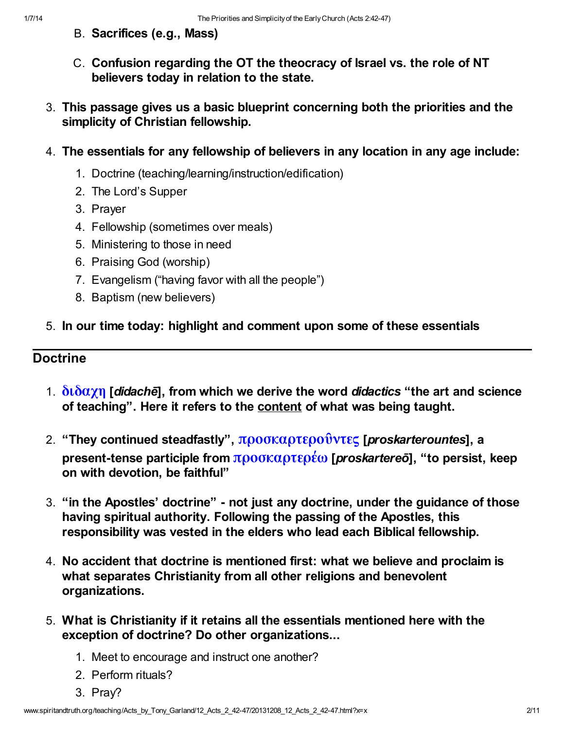- B. Sacrifices (e.g., Mass)
- C. Confusion regarding the OT the theocracy of Israel vs. the role of NT believers today in relation to the state.
- 3. This passage gives us a basic blueprint concerning both the priorities and the simplicity of Christian fellowship.
- 4. The essentials for any fellowship of believers in any location in any age include:
	- 1. Doctrine (teaching/learning/instruction/edification)
	- 2. The Lord's Supper
	- 3. Prayer
	- 4. Fellowship (sometimes over meals)
	- 5. Ministering to those in need
	- 6. Praising God (worship)
	- 7. Evangelism ("having favor with all the people")
	- 8. Baptism (new believers)
- 5. In our time today: highlight and comment upon some of these essentials

### Doctrine

- 1.  $\delta \tilde{\alpha}$  [didache], from which we derive the word didactics "the art and science of teaching". Here it refers to the content of what was being taught.
- 2. "They continued steadfastly", προσκαρτεροΰντες [proskarterountes], a present-tense participle from  $[προσκαρτερέω](http://www.spiritandtruth.org/fontsu/index.htm)$  $[$ *proskartereō* $], "to persist, keep$ on with devotion, be faithful"
- 3. "in the Apostles' doctrine" not just any doctrine, under the guidance of those having spiritual authority. Following the passing of the Apostles, this responsibility was vested in the elders who lead each Biblical fellowship.
- 4. No accident that doctrine is mentioned first: what we believe and proclaim is what separates Christianity from all other religions and benevolent organizations.
- 5. What is Christianity if it retains all the essentials mentioned here with the exception of doctrine? Do other organizations...
	- 1. Meet to encourage and instruct one another?
	- 2. Perform rituals?
	- 3. Pray?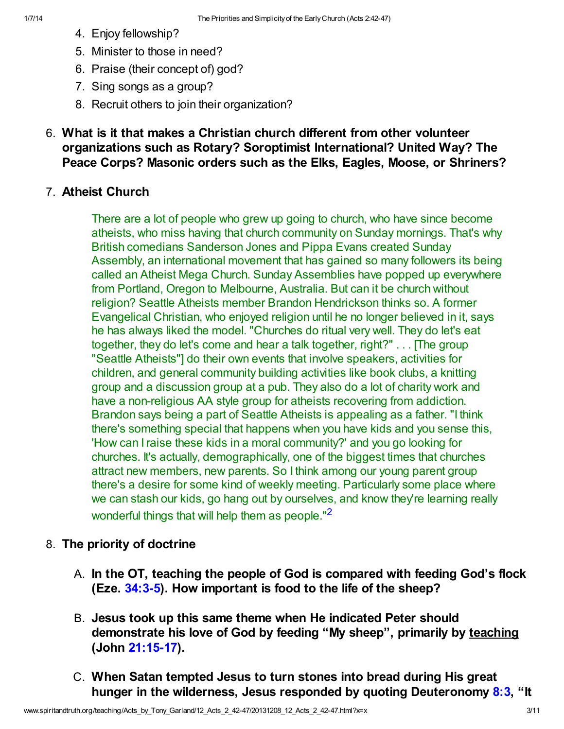- 4. Enjoy fellowship?
- 5. Minister to those in need?
- 6. Praise (their concept of) god?
- 7. Sing songs as a group?
- 8. Recruit others to join their organization?
- 6. What is it that makes a Christian church different from other volunteer organizations such as Rotary? Soroptimist International? United Way? The Peace Corps? Masonic orders such as the Elks, Eagles, Moose, or Shriners?

## 7. Atheist Church

There are a lot of people who grew up going to church, who have since become atheists, who miss having that church community on Sunday mornings. That's why British comedians Sanderson Jones and Pippa Evans created Sunday Assembly, an international movement that has gained so many followers its being called an Atheist Mega Church. Sunday Assemblies have popped up everywhere from Portland, Oregon to Melbourne, Australia. But can it be church without religion? Seattle Atheists member Brandon Hendrickson thinks so. A former Evangelical Christian, who enjoyed religion until he no longer believed in it, says he has always liked the model. "Churches do ritual very well. They do let's eat together, they do let's come and hear a talk together, right?" . . . [The group "Seattle Atheists"] do their own events that involve speakers, activities for children, and general community building activities like book clubs, a knitting group and a discussion group at a pub. They also do a lot of charity work and have a non-religious AA style group for atheists recovering from addiction. Brandon says being a part of Seattle Atheists is appealing as a father. "I think there's something special that happens when you have kids and you sense this, 'How can I raise these kids in a moral community?' and you go looking for churches. It's actually, demographically, one of the biggest times that churches attract new members, new parents. So I think among our young parent group there's a desire for some kind of weekly meeting. Particularly some place where we can stash our kids, go hang out by ourselves, and know they're learning really wonderful things that will help them as people.<sup>"[2](#page-9-1)</sup>

## 8. The priority of doctrine

- <span id="page-2-0"></span>A. In the OT, teaching the people of God is compared with feeding God's flock (Eze. [34:3-5\)](http://www.spiritandtruth.org/bibles/nasb/b26c034.htm#Eze._C34V3). How important is food to the life of the sheep?
- B. Jesus took up this same theme when He indicated Peter should demonstrate his love of God by feeding "My sheep", primarily by teaching (John [21:15-17](http://www.spiritandtruth.org/bibles/nasb/b43c021.htm#John_C21V15)).
- C. When Satan tempted Jesus to turn stones into bread during His great hunger in the wilderness, Jesus responded by quoting Deuteronomy [8:3](http://www.spiritandtruth.org/bibles/nasb/b05c008.htm#Deu._C8V3), "It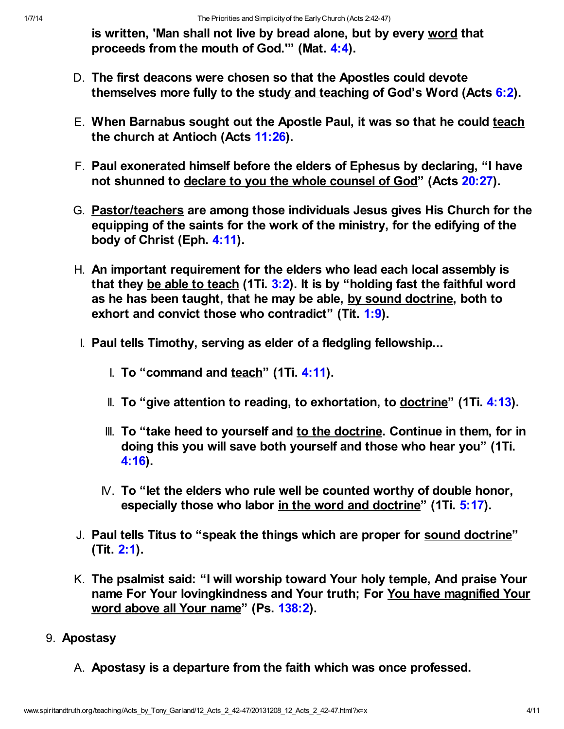is written, 'Man shall not live by bread alone, but by every word that proceeds from the mouth of God.'" (Mat. [4:4](http://www.spiritandtruth.org/bibles/nasb/b40c004.htm#Mat._C4V4)).

- D. The first deacons were chosen so that the Apostles could devote themselves more fully to the study and teaching of God's Word (Acts [6:2\)](http://www.spiritandtruth.org/bibles/nasb/b44c006.htm#Acts_C6V2).
- E. When Barnabus sought out the Apostle Paul, it was so that he could teach the church at Antioch (Acts [11:26](http://www.spiritandtruth.org/bibles/nasb/b44c011.htm#Acts_C11V26)).
- F. Paul exonerated himself before the elders of Ephesus by declaring, "I have not shunned to declare to you the whole counsel of God" (Acts [20:27](http://www.spiritandtruth.org/bibles/nasb/b44c020.htm#Acts_C20V27)).
- G. Pastor/teachers are among those individuals Jesus gives His Church for the equipping of the saints for the work of the ministry, for the edifying of the body of Christ (Eph. [4:11](http://www.spiritandtruth.org/bibles/nasb/b49c004.htm#Eph._C4V11)).
- H. An important requirement for the elders who lead each local assembly is that they be able to teach (1Ti.  $3:2$ ). It is by "holding fast the faithful word as he has been taught, that he may be able, by sound doctrine, both to exhort and convict those who contradict" (Tit. [1:9](http://www.spiritandtruth.org/bibles/nasb/b56c001.htm#Tit._C1V9)).
- I. Paul tells Timothy, serving as elder of a fledgling fellowship...
	- I. To "command and  $teach$ " (1Ti. [4:11](http://www.spiritandtruth.org/bibles/nasb/b54c004.htm#1Ti._C4V11)).</u>
	- II. To "give attention to reading, to exhortation, to doctrine" (1Ti. [4:13](http://www.spiritandtruth.org/bibles/nasb/b54c004.htm#1Ti._C4V13)).
	- III. To "take heed to yourself and to the doctrine. Continue in them, for in doing this you will save both yourself and those who hear you" (1Ti. [4:16\)](http://www.spiritandtruth.org/bibles/nasb/b54c004.htm#1Ti._C4V16).
	- $N$ . To "let the elders who rule well be counted worthy of double honor, especially those who labor in the word and doctrine" (1Ti. [5:17\)](http://www.spiritandtruth.org/bibles/nasb/b54c005.htm#1Ti._C5V17).
- J. Paul tells Titus to "speak the things which are proper for sound doctrine" (Tit. [2:1\)](http://www.spiritandtruth.org/bibles/nasb/b56c002.htm#Tit._C2V1).
- K. The psalmist said: "I will worship toward Your holy temple, And praise Your name For Your lovingkindness and Your truth; For You have magnified Your word above all Your name" (Ps. [138:2\)](http://www.spiritandtruth.org/bibles/nasb/b19c138.htm#Ps._C138V2).
- 9. Apostasy
	- A. Apostasy is a departure from the faith which was once professed.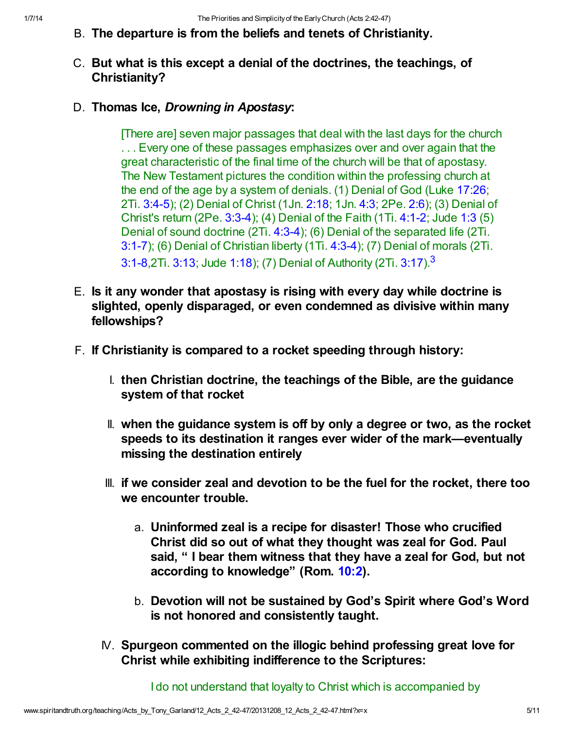### B. The departure is from the beliefs and tenets of Christianity.

### C. But what is this except a denial of the doctrines, the teachings, of Christianity?

### D. Thomas Ice, Drowning in Apostasy:

<span id="page-4-0"></span>[There are] seven major passages that deal with the last days for the church ... Every one of these passages emphasizes over and over again that the great characteristic of the final time of the church will be that of apostasy. The New Testament pictures the condition within the professing church at the end of the age by a system of denials. (1) Denial of God (Luke [17:26;](http://www.spiritandtruth.org/bibles/nasb/b42c017.htm#Luke_C17V26) 2Ti. [3:4-5](http://www.spiritandtruth.org/bibles/nasb/b55c003.htm#2Ti._C3V4)); (2) Denial of Christ (1Jn. [2:18](http://www.spiritandtruth.org/bibles/nasb/b62c002.htm#1Jn._C2V18); 1Jn. [4:3;](http://www.spiritandtruth.org/bibles/nasb/b62c004.htm#1Jn._C4V3) 2Pe. [2:6](http://www.spiritandtruth.org/bibles/nasb/b61c002.htm#2Pe._C2V6)); (3) Denial of Christ's return (2Pe. [3:3-4](http://www.spiritandtruth.org/bibles/nasb/b61c003.htm#2Pe._C3V3)); (4) Denial of the Faith (1Ti. [4:1-2](http://www.spiritandtruth.org/bibles/nasb/b54c004.htm#1Ti._C4V1); Jude [1:3](http://www.spiritandtruth.org/bibles/nasb/b65c001.htm#Jude_C1V3) (5) Denial of sound doctrine (2Ti. [4:3-4](http://www.spiritandtruth.org/bibles/nasb/b55c004.htm#2Ti._C4V3)); (6) Denial of the separated life (2Ti. [3:1-7](http://www.spiritandtruth.org/bibles/nasb/b55c003.htm#2Ti._C3V1)); (6) Denial of Christian liberty (1Ti. [4:3-4\)](http://www.spiritandtruth.org/bibles/nasb/b54c004.htm#1Ti._C4V3); (7) Denial of morals (2Ti. [3:1-8](http://www.spiritandtruth.org/bibles/nasb/b55c003.htm#2Ti._C3V1),2Ti. [3:13](http://www.spiritandtruth.org/bibles/nasb/b55c003.htm#2Ti._C3V13); Jude [1:18](http://www.spiritandtruth.org/bibles/nasb/b65c001.htm#Jude_C1V18)); (7) Denial of Authority (2Ti. [3:17\)](http://www.spiritandtruth.org/bibles/nasb/b55c003.htm#2Ti._C3V17).[3](#page-9-2)

- E. Is it any wonder that apostasy is rising with every day while doctrine is slighted, openly disparaged, or even condemned as divisive within many fellowships?
- F. If Christianity is compared to a rocket speeding through history:
	- I. then Christian doctrine, the teachings of the Bible, are the guidance system of that rocket
	- II. when the guidance system is off by only a degree or two, as the rocket speeds to its destination it ranges ever wider of the mark—eventually missing the destination entirely
	- III. if we consider zeal and devotion to be the fuel for the rocket, there too we encounter trouble.
		- a. Uninformed zeal is a recipe for disaster! Those who crucified Christ did so out of what they thought was zeal for God. Paul said, " I bear them witness that they have a zeal for God, but not according to knowledge" (Rom. [10:2](http://www.spiritandtruth.org/bibles/nasb/b45c010.htm#Rom._C10V2)).
		- b. Devotion will not be sustained by God's Spirit where God's Word is not honored and consistently taught.
	- IV. Spurgeon commented on the illogic behind professing great love for Christ while exhibiting indifference to the Scriptures:

I do not understand that loyalty to Christ which is accompanied by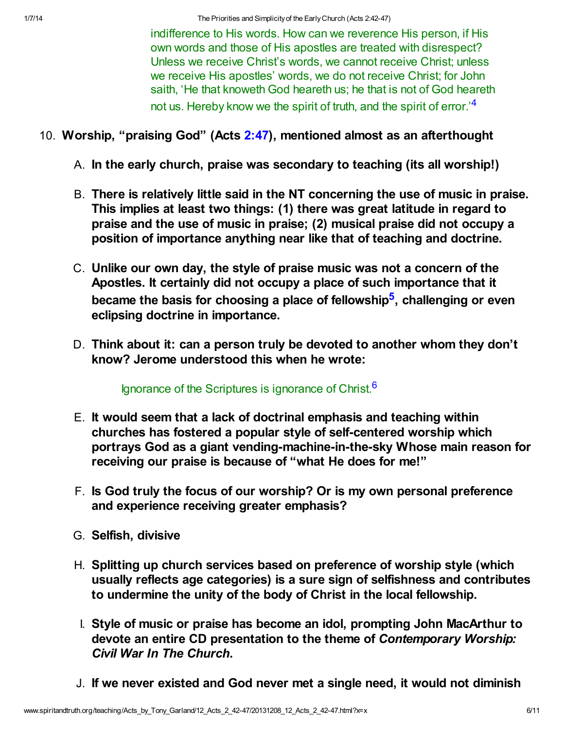1/7/14 The Priorities and Simplicity of the Early Church (Acts 2:42-47)

<span id="page-5-0"></span>indifference to His words. How can we reverence His person, if His own words and those of His apostles are treated with disrespect? Unless we receive Christ's words, we cannot receive Christ; unless we receive His apostles' words, we do not receive Christ; for John saith, 'He that knoweth God heareth us; he that is not of God heareth not us. Hereby know we the spirit of truth, and the spirit of error.<sup>1[4](#page-9-3)</sup>

- 10. Worship, "praising God" (Acts [2:47\)](http://www.spiritandtruth.org/bibles/nasb/b44c002.htm#Acts_C2V47), mentioned almost as an afterthought
	- A. In the early church, praise was secondary to teaching (its all worship!)
	- B. There is relatively little said in the NT concerning the use of music in praise. This implies at least two things: (1) there was great latitude in regard to praise and the use of music in praise; (2) musical praise did not occupy a position of importance anything near like that of teaching and doctrine.
	- C. Unlike our own day, the style of praise music was not a concern of the Apostles. It certainly did not occupy a place of such importance that it became the basis for choosing a place of fellowship<sup>[5](#page-9-4)</sup>, challenging or even eclipsing doctrine in importance.
	- D. Think about it: can a person truly be devoted to another whom they don't know? Jerome understood this when he wrote:

<span id="page-5-2"></span><span id="page-5-1"></span>Ignorance of the Scriptures is ignorance of Christ.<sup>[6](#page-9-5)</sup>

- E. It would seem that a lack of doctrinal emphasis and teaching within churches has fostered a popular style of self-centered worship which portrays God as a giant vending-machine-in-the-sky Whose main reason for receiving our praise is because of "what He does for me!"
- F. Is God truly the focus of our worship? Or is my own personal preference and experience receiving greater emphasis?
- G. Selfish, divisive
- H. Splitting up church services based on preference of worship style (which usually reflects age categories) is a sure sign of selfishness and contributes to undermine the unity of the body of Christ in the local fellowship.
- I. Style of music or praise has become an idol, prompting John MacArthur to devote an entire CD presentation to the theme of Contemporary Worship: Civil War In The Church.
- J. If we never existed and God never met a single need, it would not diminish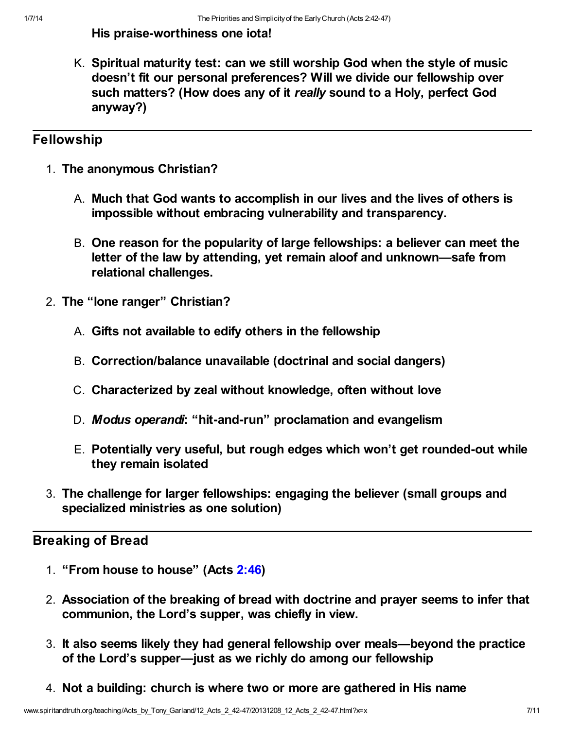### His praise-worthiness one iota!

K. Spiritual maturity test: can we still worship God when the style of music doesn't fit our personal preferences? Will we divide our fellowship over such matters? (How does any of it really sound to a Holy, perfect God anyway?)

# **Fellowship**

- 1. The anonymous Christian?
	- A. Much that God wants to accomplish in our lives and the lives of others is impossible without embracing vulnerability and transparency.
	- B. One reason for the popularity of large fellowships: a believer can meet the letter of the law by attending, yet remain aloof and unknown—safe from relational challenges.
- 2. The "lone ranger" Christian?
	- A. Gifts not available to edify others in the fellowship
	- B. Correction/balance unavailable (doctrinal and social dangers)
	- C. Characterized by zeal without knowledge, often without love
	- D. Modus operandi: "hit-and-run" proclamation and evangelism
	- E. Potentially very useful, but rough edges which won't get rounded-out while they remain isolated
- 3. The challenge for larger fellowships: engaging the believer (small groups and specialized ministries as one solution)

# Breaking of Bread

- 1. "From house to house" (Acts [2:46\)](http://www.spiritandtruth.org/bibles/nasb/b44c002.htm#Acts_C2V46)
- 2. Association of the breaking of bread with doctrine and prayer seems to infer that communion, the Lord's supper, was chiefly in view.
- 3. It also seems likely they had general fellowship over meals—beyond the practice of the Lord's supper—just as we richly do among our fellowship
- 4. Not a building: church is where two or more are gathered in His name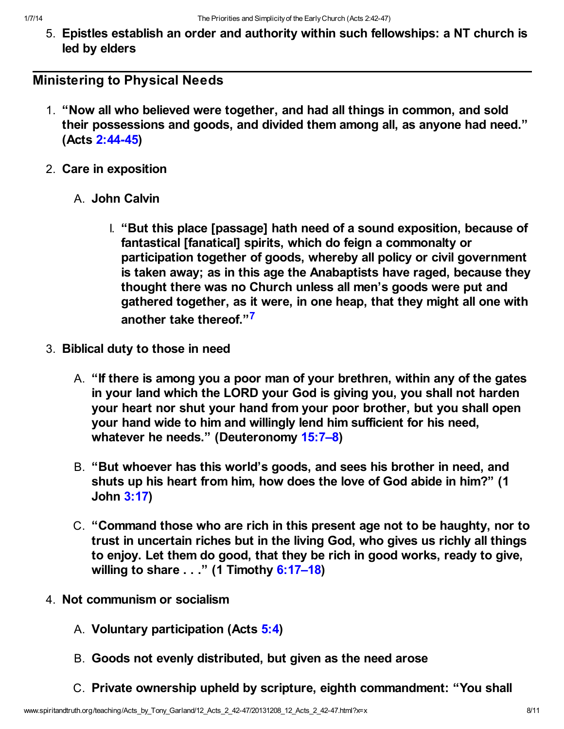5. Epistles establish an order and authority within such fellowships: a NT church is led by elders

# Ministering to Physical Needs

- 1. "Now all who believed were together, and had all things in common, and sold their possessions and goods, and divided them among all, as anyone had need." (Acts [2:44-45\)](http://www.spiritandtruth.org/bibles/nasb/b44c002.htm#Acts_C2V44)
- 2. Care in exposition
	- A. John Calvin
		- I. "But this place [passage] hath need of a sound exposition, because of fantastical [fanatical] spirits, which do feign a commonalty or participation together of goods, whereby all policy or civil government is taken away; as in this age the Anabaptists have raged, because they thought there was no Church unless all men's goods were put and gathered together, as it were, in one heap, that they might all one with another take thereof."<sup>[7](#page-9-6)</sup>
- <span id="page-7-0"></span>3. Biblical duty to those in need
	- A. "If there is among you a poor man of your brethren, within any of the gates in your land which the LORD your God is giving you, you shall not harden your heart nor shut your hand from your poor brother, but you shall open your hand wide to him and willingly lend him sufficient for his need, whatever he needs." (Deuteronomy 15:7-8)
	- B. "But whoever has this world's goods, and sees his brother in need, and shuts up his heart from him, how does the love of God abide in him?" (1 John [3:17](http://www.spiritandtruth.org/bibles/nasb/b62c003.htm#1Jn._C3V17))
	- C. "Command those who are rich in this present age not to be haughty, nor to trust in uncertain riches but in the living God, who gives us richly all things to enjoy. Let them do good, that they be rich in good works, ready to give, willing to share . . ." (1 Timothy 6:17-18)
- 4. Not communism or socialism
	- A. Voluntary participation (Acts [5:4\)](http://www.spiritandtruth.org/bibles/nasb/b44c005.htm#Acts_C5V4)
	- B. Goods not evenly distributed, but given as the need arose
	- C. Private ownership upheld by scripture, eighth commandment: "You shall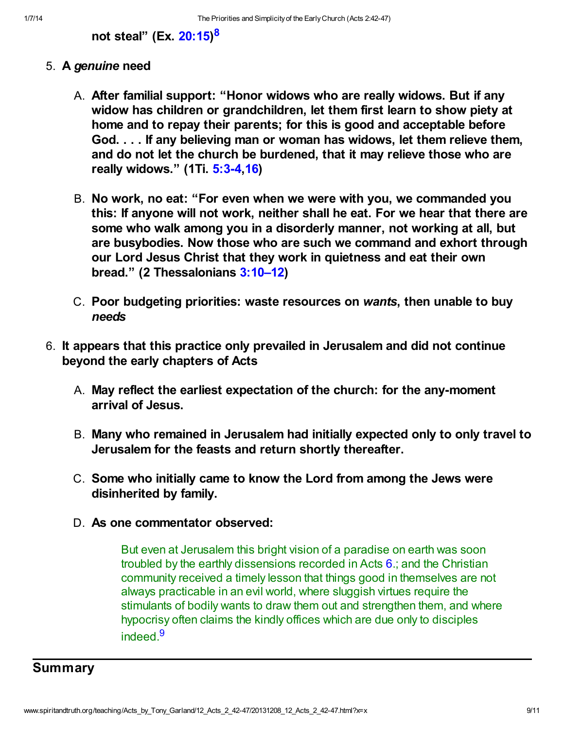# <span id="page-8-0"></span>not steal" (Ex. [20:15\)](http://www.spiritandtruth.org/bibles/nasb/b02c020.htm#Ex._C20V15)<sup>[8](#page-9-7)</sup>

- 5. A genuine need
	- A. After familial support: "Honor widows who are really widows. But if any widow has children or grandchildren, let them first learn to show piety at home and to repay their parents; for this is good and acceptable before God. . . . If any believing man or woman has widows, let them relieve them, and do not let the church be burdened, that it may relieve those who are really widows." (1Ti. [5:3-4](http://www.spiritandtruth.org/bibles/nasb/b54c005.htm#1Ti._C5V3),[16](http://www.spiritandtruth.org/bibles/nasb/b54c005.htm#1Ti._C5V16))
	- B. No work, no eat: "For even when we were with you, we commanded you this: If anyone will not work, neither shall he eat. For we hear that there are some who walk among you in a disorderly manner, not working at all, but are busybodies. Now those who are such we command and exhort through our Lord Jesus Christ that they work in quietness and eat their own bread." (2 Thessalonians [3:10–12\)](http://www.spiritandtruth.org/bibles/nasb/b53c003.htm#2Th._C3V10)
	- C. Poor budgeting priorities: waste resources on wants, then unable to buy needs
- 6. It appears that this practice only prevailed in Jerusalem and did not continue beyond the early chapters of Acts
	- A. May reflect the earliest expectation of the church: for the any-moment arrival of Jesus.
	- B. Many who remained in Jerusalem had initially expected only to only travel to Jerusalem for the feasts and return shortly thereafter.
	- C. Some who initially came to know the Lord from among the Jews were disinherited by family.
	- D. As one commentator observed:

<span id="page-8-1"></span>But even at Jerusalem this bright vision of a paradise on earth was soon troubled by the earthly dissensions recorded in Acts [6](http://www.spiritandtruth.org/bibles/nasb/b44c006.htm#Acts_C6V1).; and the Christian community received a timely lesson that things good in themselves are not always practicable in an evil world, where sluggish virtues require the stimulants of bodily wants to draw them out and strengthen them, and where hypocrisy often claims the kindly offices which are due only to disciples indeed<sup>[9](#page-9-8)</sup>

# **Summary**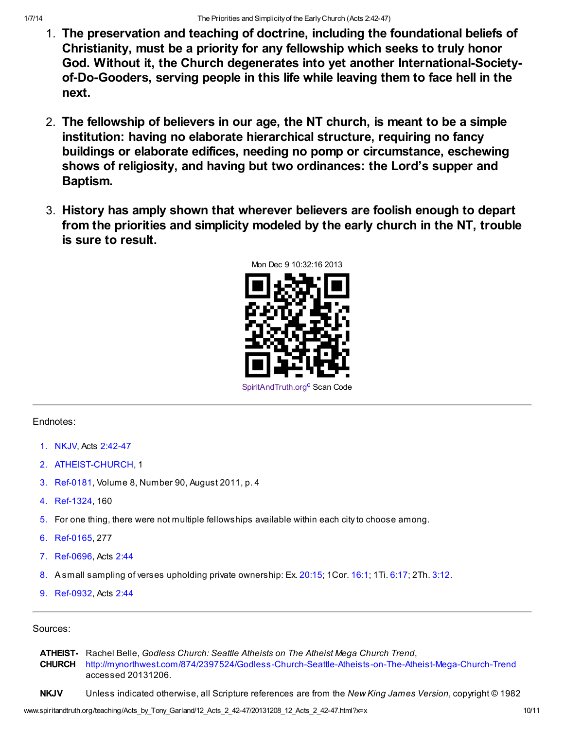- 1. The preservation and teaching of doctrine, including the foundational beliefs of Christianity, must be a priority for any fellowship which seeks to truly honor God. Without it, the Church degenerates into yet another International-Societyof-Do-Gooders, serving people in this life while leaving them to face hell in the next.
- 2. The fellowship of believers in our age, the NT church, is meant to be a simple institution: having no elaborate hierarchical structure, requiring no fancy buildings or elaborate edifices, needing no pomp or circumstance, eschewing shows of religiosity, and having but two ordinances: the Lord's supper and Baptism.
- 3. History has amply shown that wherever believers are foolish enough to depart from the priorities and simplicity modeled by the early church in the NT, trouble is sure to result.

<span id="page-9-9"></span>

#### Endnotes:

- <span id="page-9-0"></span>[1.](#page-0-0) NKJV, Acts [2:42-47](http://www.spiritandtruth.org/bibles/nasb/b44c002.htm#Acts_C2V42)
- <span id="page-9-1"></span>[2.](#page-2-0) ATHEIST-CHURCH, 1
- <span id="page-9-2"></span>[3.](#page-4-0) Ref-0181, Volume 8, Number 90, August 2011, p. 4
- <span id="page-9-3"></span>[4.](#page-5-0) Ref-1324, 160
- <span id="page-9-4"></span>[5.](#page-5-1) For one thing, there were not multiple fellowships available within each city to choose among.
- <span id="page-9-5"></span>[6.](#page-5-2) Ref-0165, 277
- <span id="page-9-6"></span>[7.](#page-7-0) Ref-0696, Acts [2:44](http://www.spiritandtruth.org/bibles/nasb/b44c002.htm#Acts_C2V44)
- <span id="page-9-7"></span>[8.](#page-8-0) A small sampling of verses upholding private ownership: Ex. [20:15](http://www.spiritandtruth.org/bibles/nasb/b02c020.htm#Ex._C20V15); 1Cor. [16:1;](http://www.spiritandtruth.org/bibles/nasb/b46c016.htm#1Cor._C16V1) 1Ti. [6:17](http://www.spiritandtruth.org/bibles/nasb/b54c006.htm#1Ti._C6V17); 2Th. [3:12.](http://www.spiritandtruth.org/bibles/nasb/b53c003.htm#2Th._C3V12)
- <span id="page-9-8"></span>[9.](#page-8-1) Ref-0932, Acts [2:44](http://www.spiritandtruth.org/bibles/nasb/b44c002.htm#Acts_C2V44)

#### Sources:

**ATHEIST-** Rachel Belle, Godless Church: Seattle Atheists on The Atheist Mega Church Trend, CHURCH <http://mynorthwest.com/874/2397524/Godless-Church-Seattle-Atheists-on-The-Atheist-Mega-Church-Trend> accessed 20131206.

NKJV Unless indicated otherwise, all Scripture references are from the New King James Version, copyright © 1982